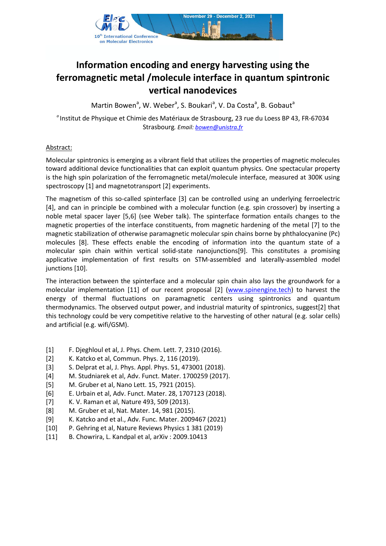

## **Information encoding and energy harvesting using the ferromagnetic metal /molecule interface in quantum spintronic vertical nanodevices**

Martin Bowen<sup>a</sup>, W. Weber<sup>a</sup>, S. Boukari<sup>a</sup>, V. Da Costa<sup>a</sup>, B. Gobaut<sup>a</sup>

*a* Institut de Physique et Chimie des Matériaux de Strasbourg, 23 rue du Loess BP 43, FR-67034 Strasbourg*. Email: [bowen@unistra.fr](mailto:bowen@unistra.fr)*

## Abstract:

Molecular spintronics is emerging as a vibrant field that utilizes the properties of magnetic molecules toward additional device functionalities that can exploit quantum physics. One spectacular property is the high spin polarization of the ferromagnetic metal/molecule interface, measured at 300K using spectroscopy [1] and magnetotransport [2] experiments.

The magnetism of this so-called spinterface [3] can be controlled using an underlying ferroelectric [4], and can in principle be combined with a molecular function (e.g. spin crossover) by inserting a noble metal spacer layer [5,6] (see Weber talk). The spinterface formation entails changes to the magnetic properties of the interface constituents, from magnetic hardening of the metal [7] to the magnetic stabilization of otherwise paramagnetic molecular spin chains borne by phthalocyanine (Pc) molecules [8]. These effects enable the encoding of information into the quantum state of a molecular spin chain within vertical solid-state nanojunctions[9]. This constitutes a promising applicative implementation of first results on STM-assembled and laterally-assembled model junctions [10].

The interaction between the spinterface and a molecular spin chain also lays the groundwork for a molecular implementation [11] of our recent proposal [2] [\(www.spinengine.tech\)](http://www.spinengine.tech/) to harvest the energy of thermal fluctuations on paramagnetic centers using spintronics and quantum thermodynamics. The observed output power, and industrial maturity of spintronics, suggest[2] that this technology could be very competitive relative to the harvesting of other natural (e.g. solar cells) and artificial (e.g. wifi/GSM).

- [1] F. Djeghloul et al, J. Phys. Chem. Lett. 7, 2310 (2016).
- [2] K. Katcko et al, Commun. Phys. 2, 116 (2019).
- [3] S. Delprat et al, J. Phys. Appl. Phys. 51, 473001 (2018).
- [4] M. Studniarek et al, Adv. Funct. Mater. 1700259 (2017).
- [5] M. Gruber et al, Nano Lett. 15, 7921 (2015).
- [6] E. Urbain et al, Adv. Funct. Mater. 28, 1707123 (2018).
- [7] K. V. Raman et al, Nature 493, 509 (2013).
- [8] M. Gruber et al, Nat. Mater. 14, 981 (2015).
- [9] K. Katcko and et al., Adv. Func. Mater. 2009467 (2021)
- [10] P. Gehring et al, Nature Reviews Physics 1 381 (2019)
- [11] B. Chowrira, L. Kandpal et al, arXiv : 2009.10413